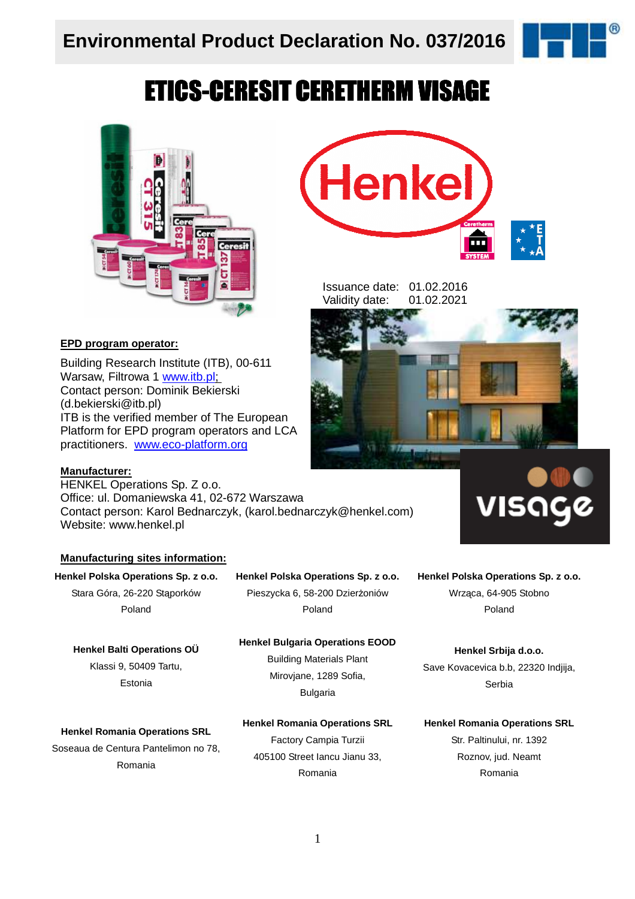

# **ETICS-CERESIT CERETHERM VISAGE**



### **EPD program operator:**

Building Research Institute (ITB), 00-611 Warsaw, Filtrowa 1 www.itb.pl; Contact person: Dominik Bekierski (d.bekierski@itb.pl) ITB is the verified member of The European Platform for EPD program operators and LCA practitioners. www.eco-platform.org

### **Manufacturer:**

HENKEL Operations Sp. Z o.o. Office: ul. Domaniewska 41, 02-672 Warszawa Contact person: Karol Bednarczyk, (karol.bednarczyk@henkel.com) Website: www.henkel.pl

### **Manufacturing sites information:**

**Henkel Polska Operations Sp. z o.o.** Stara Góra, 26-220 Stąporków Poland

### **Henkel Polska Operations Sp. z o.o.** Pieszycka 6, 58-200 Dzierżoniów

Poland

#### **Henkel Balti Operations OÜ**

Klassi 9, 50409 Tartu, Estonia

### **Henkel Bulgaria Operations EOOD** Building Materials Plant

Mirovjane, 1289 Sofia, Bulgaria

#### **Henkel Romania Operations SRL**

Soseaua de Centura Pantelimon no 78, Romania

Factory Campia Turzii 405100 Street Iancu Jianu 33, Romania

**Henkel Romania Operations SRL**



Issuance date: 01.02.2016 Validity date: 01.02.2021



#### **Henkel Polska Operations Sp. z o.o.**

Wrząca, 64-905 Stobno Poland

**Henkel Srbija d.o.o.**  Save Kovacevica b.b, 22320 Indjija, Serbia

#### **Henkel Romania Operations SRL**

Str. Paltinului, nr. 1392 Roznov, jud. Neamt Romania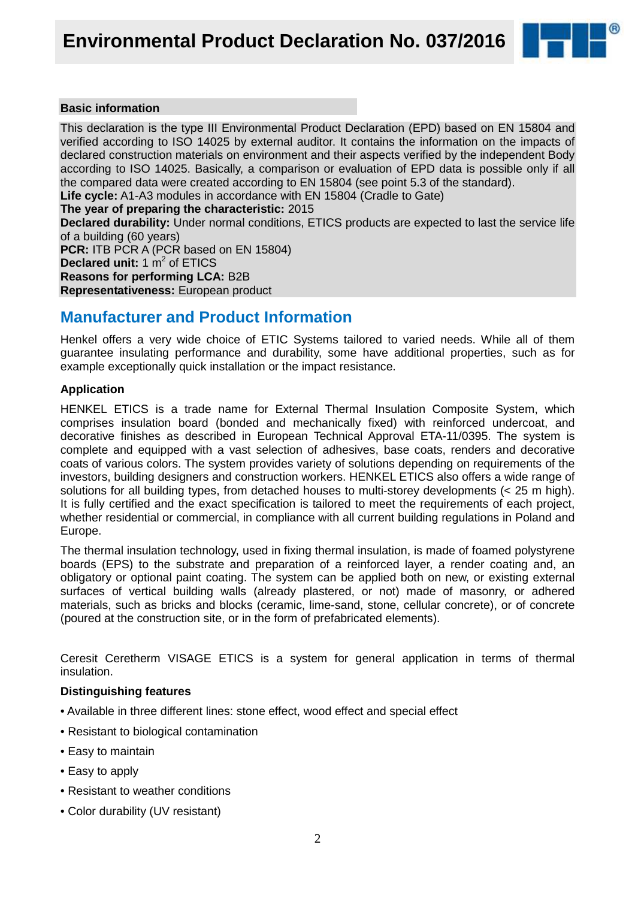

### **Basic information**

This declaration is the type III Environmental Product Declaration (EPD) based on EN 15804 and verified according to ISO 14025 by external auditor. It contains the information on the impacts of declared construction materials on environment and their aspects verified by the independent Body according to ISO 14025. Basically, a comparison or evaluation of EPD data is possible only if all the compared data were created according to EN 15804 (see point 5.3 of the standard).

**Life cycle:** A1-A3 modules in accordance with EN 15804 (Cradle to Gate)

**The year of preparing the characteristic:** 2015

**Declared durability:** Under normal conditions, ETICS products are expected to last the service life of a building (60 years)

**PCR:** ITB PCR A (PCR based on EN 15804) **Declared unit:** 1 m<sup>2</sup> of ETICS **Reasons for performing LCA:** B2B **Representativeness:** European product

### **Manufacturer and Product Information**

Henkel offers a very wide choice of ETIC Systems tailored to varied needs. While all of them guarantee insulating performance and durability, some have additional properties, such as for example exceptionally quick installation or the impact resistance.

### **Application**

HENKEL ETICS is a trade name for External Thermal Insulation Composite System, which comprises insulation board (bonded and mechanically fixed) with reinforced undercoat, and decorative finishes as described in European Technical Approval ETA-11/0395. The system is complete and equipped with a vast selection of adhesives, base coats, renders and decorative coats of various colors. The system provides variety of solutions depending on requirements of the investors, building designers and construction workers. HENKEL ETICS also offers a wide range of solutions for all building types, from detached houses to multi-storey developments (< 25 m high). It is fully certified and the exact specification is tailored to meet the requirements of each project, whether residential or commercial, in compliance with all current building regulations in Poland and Europe.

The thermal insulation technology, used in fixing thermal insulation, is made of foamed polystyrene boards (EPS) to the substrate and preparation of a reinforced layer, a render coating and, an obligatory or optional paint coating. The system can be applied both on new, or existing external surfaces of vertical building walls (already plastered, or not) made of masonry, or adhered materials, such as bricks and blocks (ceramic, lime-sand, stone, cellular concrete), or of concrete (poured at the construction site, or in the form of prefabricated elements).

Ceresit Ceretherm VISAGE ETICS is a system for general application in terms of thermal insulation.

### **Distinguishing features**

- Available in three different lines: stone effect, wood effect and special effect
- Resistant to biological contamination
- Easy to maintain
- Easy to apply
- Resistant to weather conditions
- Color durability (UV resistant)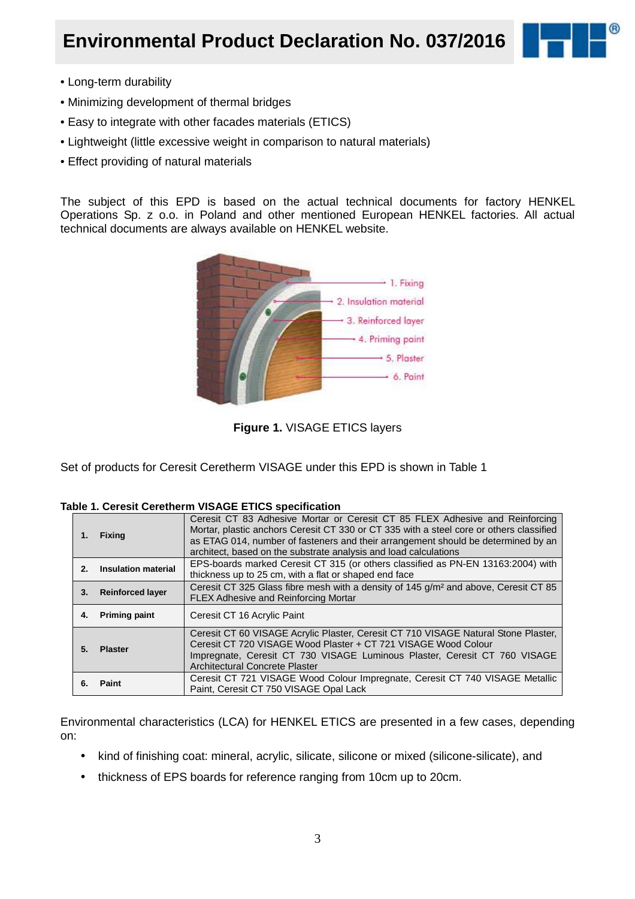## **Environmental Product Declaration No. 037/2016**



- Long-term durability
- Minimizing development of thermal bridges
- Easy to integrate with other facades materials (ETICS)
- Lightweight (little excessive weight in comparison to natural materials)
- Effect providing of natural materials

The subject of this EPD is based on the actual technical documents for factory HENKEL Operations Sp. z o.o. in Poland and other mentioned European HENKEL factories. All actual technical documents are always available on HENKEL website.



**Figure 1.** VISAGE ETICS layers

Set of products for Ceresit Ceretherm VISAGE under this EPD is shown in Table 1

|  |  |  | Table 1. Ceresit Ceretherm VISAGE ETICS specification |
|--|--|--|-------------------------------------------------------|
|  |  |  |                                                       |

| 1. | <b>Fixing</b>              | Ceresit CT 83 Adhesive Mortar or Ceresit CT 85 FLEX Adhesive and Reinforcing<br>Mortar, plastic anchors Ceresit CT 330 or CT 335 with a steel core or others classified<br>as ETAG 014, number of fasteners and their arrangement should be determined by an<br>architect, based on the substrate analysis and load calculations |
|----|----------------------------|----------------------------------------------------------------------------------------------------------------------------------------------------------------------------------------------------------------------------------------------------------------------------------------------------------------------------------|
| 2. | <b>Insulation material</b> | EPS-boards marked Ceresit CT 315 (or others classified as PN-EN 13163:2004) with<br>thickness up to 25 cm, with a flat or shaped end face                                                                                                                                                                                        |
| 3. | <b>Reinforced layer</b>    | Ceresit CT 325 Glass fibre mesh with a density of 145 g/m <sup>2</sup> and above, Ceresit CT 85<br><b>FLEX Adhesive and Reinforcing Mortar</b>                                                                                                                                                                                   |
| 4. | <b>Priming paint</b>       | Ceresit CT 16 Acrylic Paint                                                                                                                                                                                                                                                                                                      |
| 5. | <b>Plaster</b>             | Ceresit CT 60 VISAGE Acrylic Plaster, Ceresit CT 710 VISAGE Natural Stone Plaster,<br>Ceresit CT 720 VISAGE Wood Plaster + CT 721 VISAGE Wood Colour<br>Impregnate, Ceresit CT 730 VISAGE Luminous Plaster, Ceresit CT 760 VISAGE<br>Architectural Concrete Plaster                                                              |
| 6. | Paint                      | Ceresit CT 721 VISAGE Wood Colour Impregnate, Ceresit CT 740 VISAGE Metallic<br>Paint, Ceresit CT 750 VISAGE Opal Lack                                                                                                                                                                                                           |

Environmental characteristics (LCA) for HENKEL ETICS are presented in a few cases, depending on:

- kind of finishing coat: mineral, acrylic, silicate, silicone or mixed (silicone-silicate), and
- thickness of EPS boards for reference ranging from 10cm up to 20cm.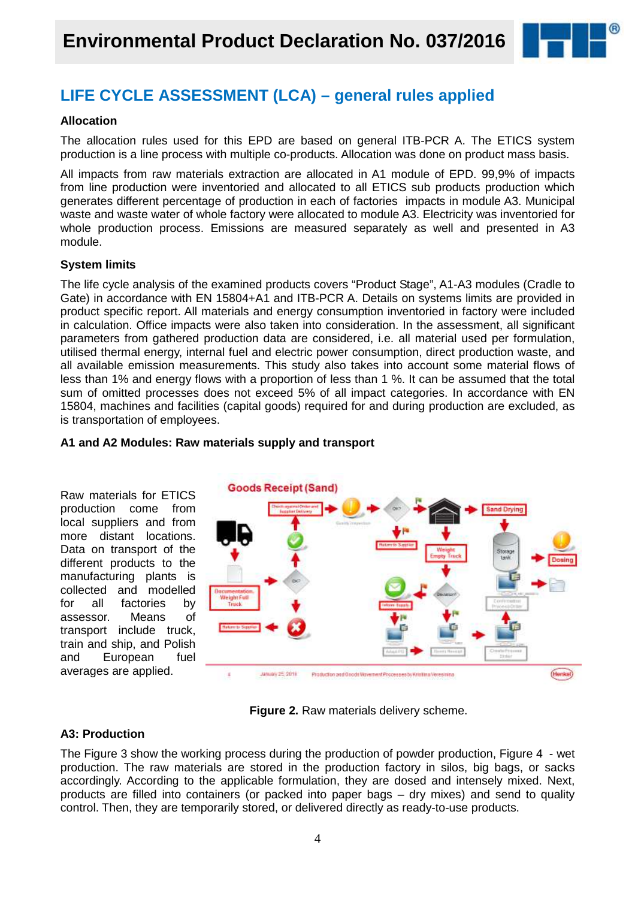

### **LIFE CYCLE ASSESSMENT (LCA) – general rules applied**

### **Allocation**

The allocation rules used for this EPD are based on general ITB-PCR A. The ETICS system production is a line process with multiple co-products. Allocation was done on product mass basis.

All impacts from raw materials extraction are allocated in A1 module of EPD. 99,9% of impacts from line production were inventoried and allocated to all ETICS sub products production which generates different percentage of production in each of factories impacts in module A3. Municipal waste and waste water of whole factory were allocated to module A3. Electricity was inventoried for whole production process. Emissions are measured separately as well and presented in A3 module.

### **System limits**

The life cycle analysis of the examined products covers "Product Stage", A1-A3 modules (Cradle to Gate) in accordance with EN 15804+A1 and ITB-PCR A. Details on systems limits are provided in product specific report. All materials and energy consumption inventoried in factory were included in calculation. Office impacts were also taken into consideration. In the assessment, all significant parameters from gathered production data are considered, i.e. all material used per formulation, utilised thermal energy, internal fuel and electric power consumption, direct production waste, and all available emission measurements. This study also takes into account some material flows of less than 1% and energy flows with a proportion of less than 1 %. It can be assumed that the total sum of omitted processes does not exceed 5% of all impact categories. In accordance with EN 15804, machines and facilities (capital goods) required for and during production are excluded, as is transportation of employees.



### **A1 and A2 Modules: Raw materials supply and transport**

**Figure 2.** Raw materials delivery scheme.

### **A3: Production**

The Figure 3 show the working process during the production of powder production, Figure 4 - wet production. The raw materials are stored in the production factory in silos, big bags, or sacks accordingly. According to the applicable formulation, they are dosed and intensely mixed. Next, products are filled into containers (or packed into paper bags – dry mixes) and send to quality control. Then, they are temporarily stored, or delivered directly as ready-to-use products.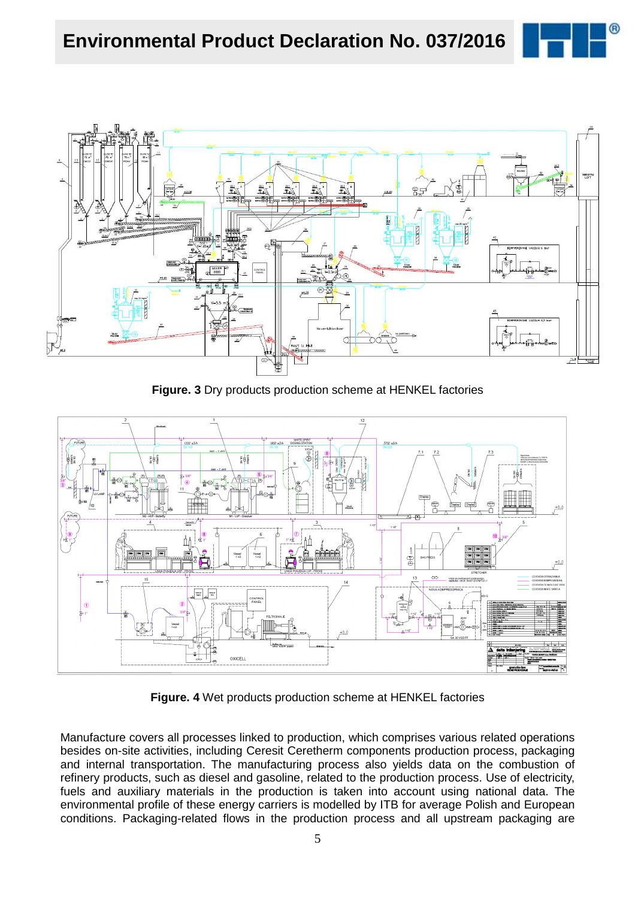



**Figure. 3** Dry products production scheme at HENKEL factories



**Figure. 4** Wet products production scheme at HENKEL factories

Manufacture covers all processes linked to production, which comprises various related operations besides on-site activities, including Ceresit Ceretherm components production process, packaging and internal transportation. The manufacturing process also yields data on the combustion of refinery products, such as diesel and gasoline, related to the production process. Use of electricity, fuels and auxiliary materials in the production is taken into account using national data. The environmental profile of these energy carriers is modelled by ITB for average Polish and European conditions. Packaging-related flows in the production process and all upstream packaging are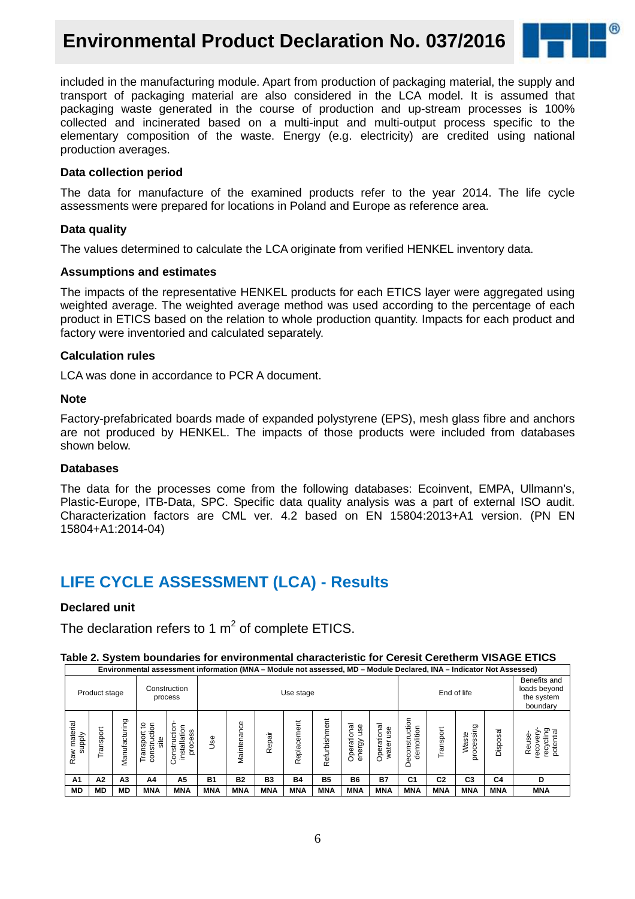### **Environmental Product Declaration No. 037/2016**



included in the manufacturing module. Apart from production of packaging material, the supply and transport of packaging material are also considered in the LCA model. It is assumed that packaging waste generated in the course of production and up-stream processes is 100% collected and incinerated based on a multi-input and multi-output process specific to the elementary composition of the waste. Energy (e.g. electricity) are credited using national production averages.

### **Data collection period**

The data for manufacture of the examined products refer to the year 2014. The life cycle assessments were prepared for locations in Poland and Europe as reference area.

### **Data quality**

The values determined to calculate the LCA originate from verified HENKEL inventory data.

### **Assumptions and estimates**

The impacts of the representative HENKEL products for each ETICS layer were aggregated using weighted average. The weighted average method was used according to the percentage of each product in ETICS based on the relation to whole production quantity. Impacts for each product and factory were inventoried and calculated separately.

### **Calculation rules**

LCA was done in accordance to PCR A document.

### **Note**

Factory-prefabricated boards made of expanded polystyrene (EPS), mesh glass fibre and anchors are not produced by HENKEL. The impacts of those products were included from databases shown below.

### **Databases**

The data for the processes come from the following databases: Ecoinvent, EMPA, Ullmann's, Plastic-Europe, ITB-Data, SPC. Specific data quality analysis was a part of external ISO audit. Characterization factors are CML ver. 4.2 based on EN 15804:2013+A1 version. (PN EN 15804+A1:2014-04)

### **LIFE CYCLE ASSESSMENT (LCA) - Results**

### **Declared unit**

The declaration refers to 1  $m^2$  of complete ETICS.

### **Table 2. System boundaries for environmental characteristic for Ceresit Ceretherm VISAGE ETICS**

|                        | Environmental assessment information (MNA – Module not assessed, MD – Module Declared, INA – Indicator Not Assessed) |                |                                        |                                             |            |             |            |             |               |                                   |                     |                                           |                |                                                        |            |                                         |
|------------------------|----------------------------------------------------------------------------------------------------------------------|----------------|----------------------------------------|---------------------------------------------|------------|-------------|------------|-------------|---------------|-----------------------------------|---------------------|-------------------------------------------|----------------|--------------------------------------------------------|------------|-----------------------------------------|
|                        | Product stage                                                                                                        |                |                                        | Construction<br>process                     |            | Use stage   |            |             |               | End of life                       |                     |                                           |                | Benefits and<br>loads beyond<br>the system<br>boundary |            |                                         |
| Raw material<br>supply | ť<br>ranspo                                                                                                          | Vlanufacturing | construction<br>ೆ<br>Transport<br>site | Construction<br>installation<br>cess<br>pro | Use        | Maintenance | Repair     | Replacement | Refurbishment | onal<br>use<br>Operatio<br>energy | Operational<br>ater | tion<br>demolition<br>ن<br>Ò٥<br>g<br>Dec | Transport      | processing<br>Waste                                    | Disposal   | recycling<br>potential<br>Reuse-<br>eco |
| A1                     | A <sub>2</sub>                                                                                                       | A <sub>3</sub> | A4                                     | А5                                          | <b>B1</b>  | <b>B2</b>   | B3         | <b>B4</b>   | <b>B5</b>     | <b>B6</b>                         | <b>B7</b>           | C <sub>1</sub>                            | C <sub>2</sub> | C <sub>3</sub>                                         | C4         | D                                       |
| <b>MD</b>              | МD                                                                                                                   | MD             | <b>MNA</b>                             | <b>MNA</b>                                  | <b>MNA</b> | <b>MNA</b>  | <b>MNA</b> | <b>MNA</b>  | <b>MNA</b>    | <b>MNA</b>                        | <b>MNA</b>          | <b>MNA</b>                                | <b>MNA</b>     | <b>MNA</b>                                             | <b>MNA</b> | <b>MNA</b>                              |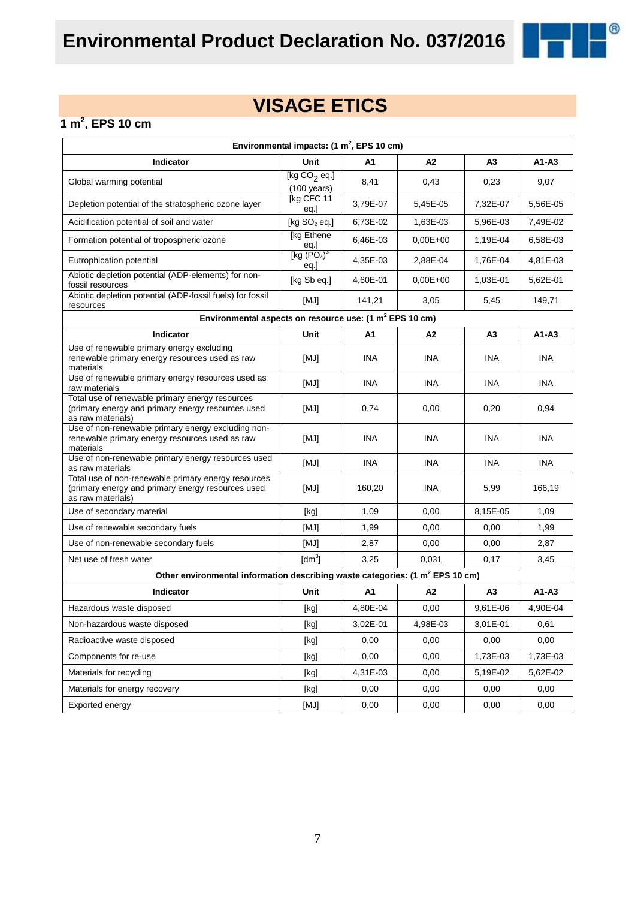

## **VISAGE ETICS**

### **1 m<sup>2</sup> , EPS 10 cm**

| Environmental impacts: (1 m <sup>2</sup> , EPS 10 cm)                                                                         |                                               |            |            |                |            |  |  |
|-------------------------------------------------------------------------------------------------------------------------------|-----------------------------------------------|------------|------------|----------------|------------|--|--|
| Indicator                                                                                                                     | Unit                                          | A1         | А2         | A <sub>3</sub> | A1-A3      |  |  |
| Global warming potential                                                                                                      | [kg $CO2$ eq.]<br>$(100 \text{ years})$       | 8,41       | 0,43       | 0,23           | 9,07       |  |  |
| Depletion potential of the stratospheric ozone layer                                                                          | [kg CFC 11<br>eq.]                            | 3,79E-07   | 5,45E-05   | 7,32E-07       | 5,56E-05   |  |  |
| Acidification potential of soil and water                                                                                     | [kg $SO2$ eq.]                                | 6,73E-02   | 1,63E-03   | 5,96E-03       | 7,49E-02   |  |  |
| Formation potential of tropospheric ozone                                                                                     | [kg Ethene<br>eq.]                            | 6,46E-03   | $0,00E+00$ | 1,19E-04       | 6,58E-03   |  |  |
| Eutrophication potential                                                                                                      | [kg (PO <sub>4</sub> ) <sup>3</sup> ]<br>eq.] | 4,35E-03   | 2,88E-04   | 1,76E-04       | 4,81E-03   |  |  |
| Abiotic depletion potential (ADP-elements) for non-<br>fossil resources                                                       | [kg Sb eq.]                                   | 4,60E-01   | $0,00E+00$ | 1,03E-01       | 5,62E-01   |  |  |
| Abiotic depletion potential (ADP-fossil fuels) for fossil<br>resources                                                        | [MJ]                                          | 141,21     | 3,05       | 5,45           | 149,71     |  |  |
| Environmental aspects on resource use: (1 m <sup>2</sup> EPS 10 cm)                                                           |                                               |            |            |                |            |  |  |
| Indicator                                                                                                                     | Unit                                          | A1         | А2         | A <sub>3</sub> | $A1 - A3$  |  |  |
| Use of renewable primary energy excluding<br>renewable primary energy resources used as raw<br>materials                      | [MJ]                                          | <b>INA</b> | <b>INA</b> | <b>INA</b>     | <b>INA</b> |  |  |
| Use of renewable primary energy resources used as<br>raw materials                                                            | [MJ]                                          | <b>INA</b> | <b>INA</b> | <b>INA</b>     | <b>INA</b> |  |  |
| Total use of renewable primary energy resources<br>(primary energy and primary energy resources used<br>as raw materials)     | [MJ]                                          | 0,74       | 0,00       | 0,20           | 0,94       |  |  |
| Use of non-renewable primary energy excluding non-<br>renewable primary energy resources used as raw<br>materials             | [MJ]                                          | <b>INA</b> | <b>INA</b> | <b>INA</b>     | <b>INA</b> |  |  |
| Use of non-renewable primary energy resources used<br>as raw materials                                                        | [MJ]                                          | <b>INA</b> | <b>INA</b> | <b>INA</b>     | <b>INA</b> |  |  |
| Total use of non-renewable primary energy resources<br>(primary energy and primary energy resources used<br>as raw materials) | [MJ]                                          | 160,20     | <b>INA</b> | 5,99           | 166,19     |  |  |
| Use of secondary material                                                                                                     | [kg]                                          | 1,09       | 0,00       | 8,15E-05       | 1,09       |  |  |
| Use of renewable secondary fuels                                                                                              | [MJ]                                          | 1,99       | 0,00       | 0,00           | 1,99       |  |  |
| Use of non-renewable secondary fuels                                                                                          | [MJ]                                          | 2,87       | 0,00       | 0,00           | 2,87       |  |  |
| Net use of fresh water                                                                                                        | $\text{Idm}^3$                                | 3,25       | 0,031      | 0,17           | 3,45       |  |  |
| Other environmental information describing waste categories: (1 m <sup>2</sup> EPS 10 cm)                                     |                                               |            |            |                |            |  |  |
| <b>Indicator</b>                                                                                                              | Unit                                          | A1         | A2         | A <sub>3</sub> | $A1 - A3$  |  |  |
| Hazardous waste disposed                                                                                                      | [kg]                                          | 4,80E-04   | 0,00       | 9,61E-06       | 4,90E-04   |  |  |
| Non-hazardous waste disposed                                                                                                  | [kg]                                          | 3,02E-01   | 4,98E-03   | 3,01E-01       | 0,61       |  |  |
| Radioactive waste disposed                                                                                                    | [kg]                                          | 0,00       | 0,00       | 0,00           | 0,00       |  |  |
| Components for re-use                                                                                                         | [kg]                                          | 0,00       | 0,00       | 1,73E-03       | 1,73E-03   |  |  |
| Materials for recycling                                                                                                       | [kg]                                          | 4,31E-03   | 0,00       | 5,19E-02       | 5,62E-02   |  |  |
| Materials for energy recovery                                                                                                 | [kg]                                          | 0,00       | 0,00       | 0,00           | 0,00       |  |  |
| Exported energy                                                                                                               | [MJ]                                          | 0,00       | 0,00       | 0,00           | 0,00       |  |  |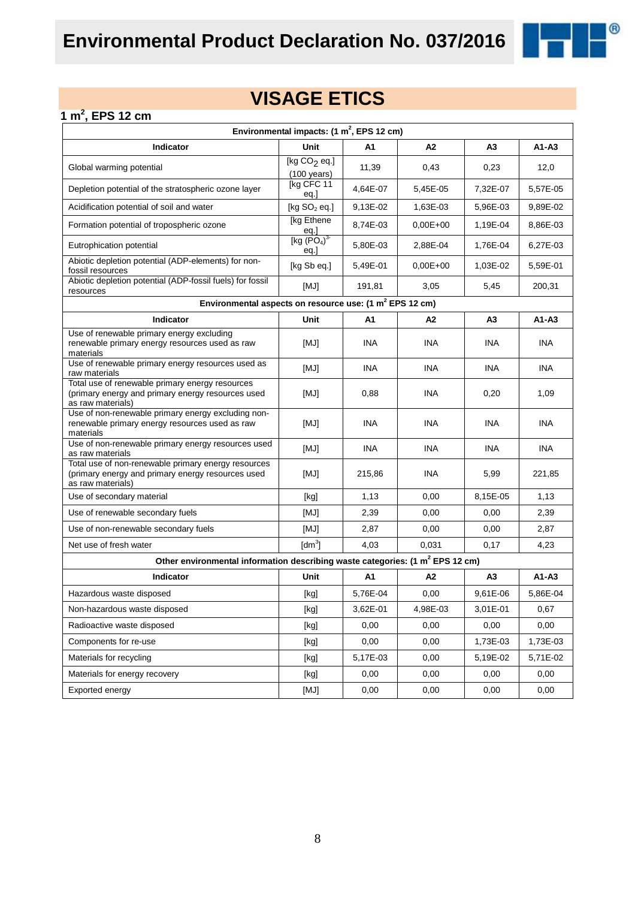

### **1 m<sup>2</sup> , EPS 12 cm**

| Environmental impacts: $(1 \text{ m}^2,$ EPS 12 cm)                                                                           |                                         |            |              |                |            |  |  |
|-------------------------------------------------------------------------------------------------------------------------------|-----------------------------------------|------------|--------------|----------------|------------|--|--|
| Indicator                                                                                                                     | Unit                                    | A1         | A2           | A3             | $A1 - A3$  |  |  |
| Global warming potential                                                                                                      | [kg $CO2$ eq.]<br>$(100 \text{ years})$ | 11,39      | 0,43         | 0,23           | 12,0       |  |  |
| Depletion potential of the stratospheric ozone layer                                                                          | [kg CFC 11<br>eq.]                      | 4,64E-07   | 5,45E-05     | 7,32E-07       | 5,57E-05   |  |  |
| Acidification potential of soil and water                                                                                     | [kg $SO2$ eq.]                          | 9,13E-02   | 1,63E-03     | 5,96E-03       | 9,89E-02   |  |  |
| Formation potential of tropospheric ozone                                                                                     | [kg Ethene]<br>eq.]                     | 8,74E-03   | $0,00E+00$   | 1,19E-04       | 8,86E-03   |  |  |
| Eutrophication potential                                                                                                      | [kg $(PO4)3$<br>eq.                     | 5,80E-03   | 2,88E-04     | 1,76E-04       | 6,27E-03   |  |  |
| Abiotic depletion potential (ADP-elements) for non-<br>fossil resources                                                       | [kg Sb eq.]                             | 5,49E-01   | $0.00E + 00$ | 1,03E-02       | 5,59E-01   |  |  |
| Abiotic depletion potential (ADP-fossil fuels) for fossil<br>resources                                                        | [MJ]                                    | 191,81     | 3,05         | 5,45           | 200,31     |  |  |
| Environmental aspects on resource use: (1 m <sup>2</sup> EPS 12 cm)                                                           |                                         |            |              |                |            |  |  |
| Indicator                                                                                                                     | Unit                                    | A1         | А2           | A <sub>3</sub> | $A1 - A3$  |  |  |
| Use of renewable primary energy excluding<br>renewable primary energy resources used as raw<br>materials                      | [MJ]                                    | <b>INA</b> | <b>INA</b>   | <b>INA</b>     | <b>INA</b> |  |  |
| Use of renewable primary energy resources used as<br>raw materials                                                            | [MJ]                                    | <b>INA</b> | <b>INA</b>   | <b>INA</b>     | <b>INA</b> |  |  |
| Total use of renewable primary energy resources<br>(primary energy and primary energy resources used<br>as raw materials)     | [MJ]                                    | 0,88       | <b>INA</b>   | 0,20           | 1,09       |  |  |
| Use of non-renewable primary energy excluding non-<br>renewable primary energy resources used as raw<br>materials             | [MJ]                                    | INA        | INA          | INA            | <b>INA</b> |  |  |
| Use of non-renewable primary energy resources used<br>as raw materials                                                        | [MJ]                                    | <b>INA</b> | INA          | <b>INA</b>     | <b>INA</b> |  |  |
| Total use of non-renewable primary energy resources<br>(primary energy and primary energy resources used<br>as raw materials) | [MJ]                                    | 215,86     | <b>INA</b>   | 5,99           | 221,85     |  |  |
| Use of secondary material                                                                                                     | [kg]                                    | 1,13       | 0,00         | 8,15E-05       | 1,13       |  |  |
| Use of renewable secondary fuels                                                                                              | [MJ]                                    | 2,39       | 0,00         | 0,00           | 2,39       |  |  |
| Use of non-renewable secondary fuels                                                                                          | [MJ]                                    | 2,87       | 0,00         | 0,00           | 2,87       |  |  |
| Net use of fresh water                                                                                                        | $\text{[dm}^3$                          | 4,03       | 0,031        | 0,17           | 4,23       |  |  |
| Other environmental information describing waste categories: (1 m <sup>2</sup> EPS 12 cm)                                     |                                         |            |              |                |            |  |  |
| Indicator                                                                                                                     | Unit                                    | A1         | A2           | A <sub>3</sub> | $A1 - A3$  |  |  |
| Hazardous waste disposed                                                                                                      | [kg]                                    | 5,76E-04   | 0,00         | 9,61E-06       | 5,86E-04   |  |  |
| Non-hazardous waste disposed                                                                                                  | [kg]                                    | 3,62E-01   | 4,98E-03     | 3,01E-01       | 0,67       |  |  |
| Radioactive waste disposed                                                                                                    | [kg]                                    | 0,00       | 0,00         | 0,00           | 0,00       |  |  |
| Components for re-use                                                                                                         | [kg]                                    | 0,00       | 0,00         | 1,73E-03       | 1,73E-03   |  |  |
| Materials for recycling                                                                                                       | [kg]                                    | 5,17E-03   | 0,00         | 5,19E-02       | 5,71E-02   |  |  |
| Materials for energy recovery                                                                                                 | [kg]                                    | 0,00       | 0,00         | 0,00           | 0,00       |  |  |
| Exported energy                                                                                                               | [MJ]                                    | 0,00       | 0,00         | 0,00           | 0,00       |  |  |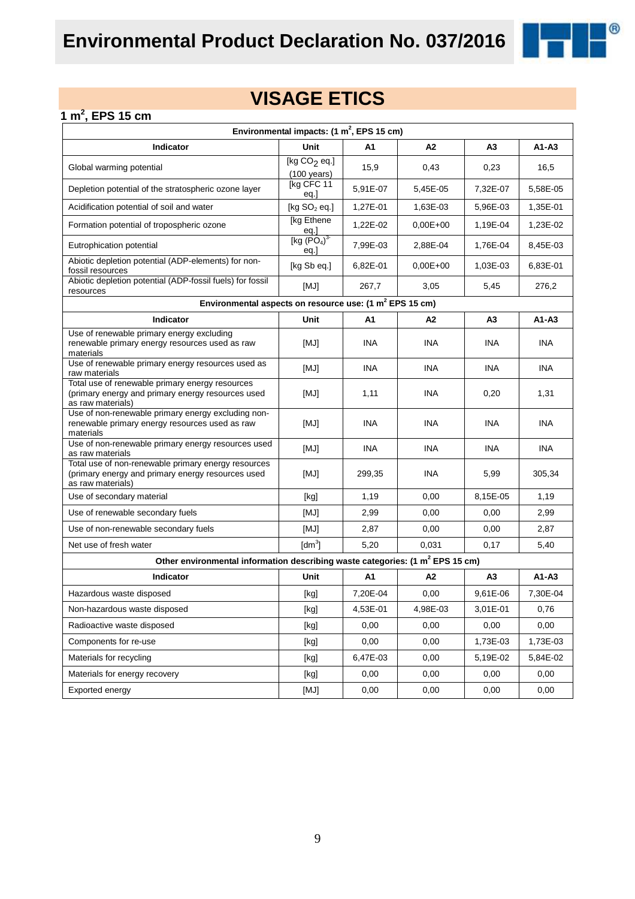

### **1 m<sup>2</sup> , EPS 15 cm**

| Environmental impacts: $(1 \text{ m}^2,$ EPS 15 cm)                                                                           |                                         |            |            |                |            |  |  |
|-------------------------------------------------------------------------------------------------------------------------------|-----------------------------------------|------------|------------|----------------|------------|--|--|
| Indicator                                                                                                                     | Unit                                    | A1         | A2         | A <sub>3</sub> | A1-A3      |  |  |
| Global warming potential                                                                                                      | [kg $CO2$ eq.]<br>$(100 \text{ years})$ | 15,9       | 0,43       | 0,23           | 16,5       |  |  |
| Depletion potential of the stratospheric ozone layer                                                                          | [kg CFC 11<br>eq.]                      | 5,91E-07   | 5,45E-05   | 7,32E-07       | 5,58E-05   |  |  |
| Acidification potential of soil and water                                                                                     | [kg $SO2$ eq.]                          | 1,27E-01   | 1,63E-03   | 5,96E-03       | 1,35E-01   |  |  |
| Formation potential of tropospheric ozone                                                                                     | [kg Ethene]                             | 1,22E-02   | $0,00E+00$ | 1,19E-04       | 1,23E-02   |  |  |
| Eutrophication potential                                                                                                      | $\frac{eq.}{[kg (PO4)3}$<br>eq.         | 7,99E-03   | 2.88E-04   | 1,76E-04       | 8,45E-03   |  |  |
| Abiotic depletion potential (ADP-elements) for non-<br>fossil resources                                                       | [kg Sb eq.]                             | 6,82E-01   | $0,00E+00$ | 1,03E-03       | 6,83E-01   |  |  |
| Abiotic depletion potential (ADP-fossil fuels) for fossil<br>resources                                                        | [MJ]                                    | 267,7      | 3,05       | 5,45           | 276,2      |  |  |
| Environmental aspects on resource use: (1 m <sup>2</sup> EPS 15 cm)                                                           |                                         |            |            |                |            |  |  |
| Indicator                                                                                                                     | Unit                                    | A1         | A2         | A <sub>3</sub> | $A1 - A3$  |  |  |
| Use of renewable primary energy excluding<br>renewable primary energy resources used as raw<br>materials                      | [MJ]                                    | <b>INA</b> | <b>INA</b> | <b>INA</b>     | <b>INA</b> |  |  |
| Use of renewable primary energy resources used as<br>raw materials                                                            | [MJ]                                    | <b>INA</b> | <b>INA</b> | <b>INA</b>     | <b>INA</b> |  |  |
| Total use of renewable primary energy resources<br>(primary energy and primary energy resources used<br>as raw materials)     | [MJ]                                    | 1,11       | <b>INA</b> | 0,20           | 1,31       |  |  |
| Use of non-renewable primary energy excluding non-<br>renewable primary energy resources used as raw<br>materials             | [MJ]                                    | <b>INA</b> | <b>INA</b> | <b>INA</b>     | <b>INA</b> |  |  |
| Use of non-renewable primary energy resources used<br>as raw materials                                                        | [MJ]                                    | <b>INA</b> | <b>INA</b> | <b>INA</b>     | <b>INA</b> |  |  |
| Total use of non-renewable primary energy resources<br>(primary energy and primary energy resources used<br>as raw materials) | [MJ]                                    | 299,35     | INA        | 5,99           | 305,34     |  |  |
| Use of secondary material                                                                                                     | [kg]                                    | 1,19       | 0,00       | 8,15E-05       | 1,19       |  |  |
| Use of renewable secondary fuels                                                                                              | [MJ]                                    | 2,99       | 0,00       | 0,00           | 2,99       |  |  |
| Use of non-renewable secondary fuels                                                                                          | [MJ]                                    | 2,87       | 0,00       | 0,00           | 2,87       |  |  |
| Net use of fresh water                                                                                                        | $\text{[dm}^3$                          | 5,20       | 0,031      | 0,17           | 5,40       |  |  |
| Other environmental information describing waste categories: (1 m <sup>2</sup> EPS 15 cm)                                     |                                         |            |            |                |            |  |  |
| <b>Indicator</b>                                                                                                              | Unit                                    | A1         | A2         | A <sub>3</sub> | $A1 - A3$  |  |  |
| Hazardous waste disposed                                                                                                      | [kg]                                    | 7,20E-04   | 0,00       | 9,61E-06       | 7,30E-04   |  |  |
| Non-hazardous waste disposed                                                                                                  | [kg]                                    | 4,53E-01   | 4,98E-03   | 3,01E-01       | 0,76       |  |  |
| Radioactive waste disposed                                                                                                    | [kg]                                    | 0,00       | 0,00       | 0,00           | 0,00       |  |  |
| Components for re-use                                                                                                         | [kg]                                    | 0,00       | 0,00       | 1,73E-03       | 1,73E-03   |  |  |
| Materials for recycling                                                                                                       | [kg]                                    | 6,47E-03   | 0,00       | 5,19E-02       | 5,84E-02   |  |  |
| Materials for energy recovery                                                                                                 | [kg]                                    | 0,00       | 0,00       | 0,00           | 0,00       |  |  |
| Exported energy                                                                                                               | [MJ]                                    | 0,00       | 0,00       | 0,00           | 0,00       |  |  |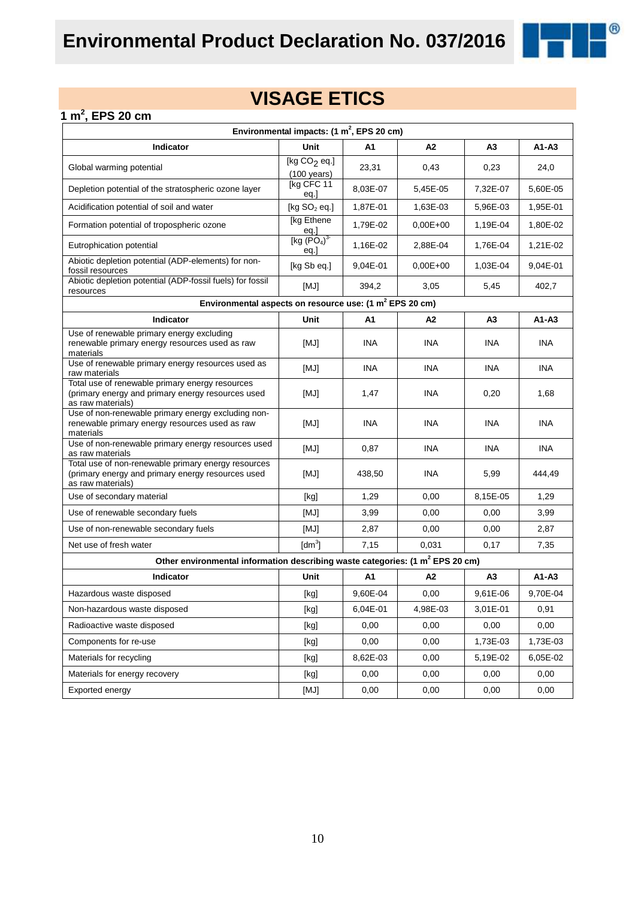

### **1 m<sup>2</sup> , EPS 20 cm**

| Environmental impacts: $(1 \text{ m}^2,$ EPS 20 cm)                                                                           |                                                                                                                                                                                                                                                                                                                                                                                                                                                                                                                                                                                                                                                                    |            |            |                |            |  |  |
|-------------------------------------------------------------------------------------------------------------------------------|--------------------------------------------------------------------------------------------------------------------------------------------------------------------------------------------------------------------------------------------------------------------------------------------------------------------------------------------------------------------------------------------------------------------------------------------------------------------------------------------------------------------------------------------------------------------------------------------------------------------------------------------------------------------|------------|------------|----------------|------------|--|--|
| Indicator                                                                                                                     | Unit                                                                                                                                                                                                                                                                                                                                                                                                                                                                                                                                                                                                                                                               | A1         | A2         | A <sub>3</sub> | $A1 - A3$  |  |  |
| Global warming potential                                                                                                      | [kg $CO2$ eq.]<br>$(100 \text{ years})$                                                                                                                                                                                                                                                                                                                                                                                                                                                                                                                                                                                                                            | 23,31      | 0,43       | 0,23           | 24,0       |  |  |
| Depletion potential of the stratospheric ozone layer                                                                          | [kg CFC 11<br>eq.]                                                                                                                                                                                                                                                                                                                                                                                                                                                                                                                                                                                                                                                 | 8,03E-07   | 5,45E-05   | 7,32E-07       | 5,60E-05   |  |  |
| Acidification potential of soil and water                                                                                     | [kg $SO2$ eq.]                                                                                                                                                                                                                                                                                                                                                                                                                                                                                                                                                                                                                                                     | 1,87E-01   | 1,63E-03   | 5,96E-03       | 1,95E-01   |  |  |
| Formation potential of tropospheric ozone                                                                                     | [kg Ethene]                                                                                                                                                                                                                                                                                                                                                                                                                                                                                                                                                                                                                                                        | 1,79E-02   | $0,00E+00$ | 1,19E-04       | 1,80E-02   |  |  |
| Eutrophication potential                                                                                                      | $\frac{eq.}{[kg (PO4)3}$<br>eq.                                                                                                                                                                                                                                                                                                                                                                                                                                                                                                                                                                                                                                    | 1,16E-02   | 2.88E-04   | 1,76E-04       | 1,21E-02   |  |  |
| Abiotic depletion potential (ADP-elements) for non-<br>fossil resources                                                       | [kg Sb eq.]                                                                                                                                                                                                                                                                                                                                                                                                                                                                                                                                                                                                                                                        | 9,04E-01   | $0,00E+00$ | 1,03E-04       | 9,04E-01   |  |  |
| Abiotic depletion potential (ADP-fossil fuels) for fossil<br>resources                                                        | [MJ]                                                                                                                                                                                                                                                                                                                                                                                                                                                                                                                                                                                                                                                               | 394,2      | 3,05       | 5,45           | 402,7      |  |  |
| Environmental aspects on resource use: (1 m <sup>2</sup> EPS 20 cm)                                                           |                                                                                                                                                                                                                                                                                                                                                                                                                                                                                                                                                                                                                                                                    |            |            |                |            |  |  |
| Indicator                                                                                                                     | Unit                                                                                                                                                                                                                                                                                                                                                                                                                                                                                                                                                                                                                                                               | A1         | A2         | A <sub>3</sub> | $A1 - A3$  |  |  |
| Use of renewable primary energy excluding<br>renewable primary energy resources used as raw<br>materials                      | [MJ]                                                                                                                                                                                                                                                                                                                                                                                                                                                                                                                                                                                                                                                               | <b>INA</b> | <b>INA</b> | <b>INA</b>     | <b>INA</b> |  |  |
| Use of renewable primary energy resources used as<br>raw materials                                                            | [MJ]                                                                                                                                                                                                                                                                                                                                                                                                                                                                                                                                                                                                                                                               | <b>INA</b> | <b>INA</b> | <b>INA</b>     | <b>INA</b> |  |  |
| Total use of renewable primary energy resources<br>(primary energy and primary energy resources used<br>as raw materials)     | [MJ]                                                                                                                                                                                                                                                                                                                                                                                                                                                                                                                                                                                                                                                               | 1,47       | <b>INA</b> | 0,20           | 1,68       |  |  |
| Use of non-renewable primary energy excluding non-<br>renewable primary energy resources used as raw<br>materials             | [MJ]                                                                                                                                                                                                                                                                                                                                                                                                                                                                                                                                                                                                                                                               | <b>INA</b> | <b>INA</b> | <b>INA</b>     | <b>INA</b> |  |  |
| Use of non-renewable primary energy resources used<br>as raw materials                                                        | [MJ]                                                                                                                                                                                                                                                                                                                                                                                                                                                                                                                                                                                                                                                               | 0,87       | <b>INA</b> | <b>INA</b>     | <b>INA</b> |  |  |
| Total use of non-renewable primary energy resources<br>(primary energy and primary energy resources used<br>as raw materials) | [MJ]                                                                                                                                                                                                                                                                                                                                                                                                                                                                                                                                                                                                                                                               | 438,50     | INA        | 5,99           | 444,49     |  |  |
| Use of secondary material                                                                                                     | [kg]                                                                                                                                                                                                                                                                                                                                                                                                                                                                                                                                                                                                                                                               | 1,29       | 0,00       | 8,15E-05       | 1,29       |  |  |
| Use of renewable secondary fuels                                                                                              | [MJ]                                                                                                                                                                                                                                                                                                                                                                                                                                                                                                                                                                                                                                                               | 3,99       | 0,00       | 0,00           | 3,99       |  |  |
| Use of non-renewable secondary fuels                                                                                          | [MJ]                                                                                                                                                                                                                                                                                                                                                                                                                                                                                                                                                                                                                                                               | 2,87       | 0,00       | 0,00           | 2,87       |  |  |
| Net use of fresh water                                                                                                        | $\text{[dm}^3$                                                                                                                                                                                                                                                                                                                                                                                                                                                                                                                                                                                                                                                     | 7,15       | 0,031      | 0,17           | 7,35       |  |  |
| Other environmental information describing waste categories: (1 m <sup>2</sup> EPS 20 cm)                                     |                                                                                                                                                                                                                                                                                                                                                                                                                                                                                                                                                                                                                                                                    |            |            |                |            |  |  |
| <b>Indicator</b>                                                                                                              | Unit                                                                                                                                                                                                                                                                                                                                                                                                                                                                                                                                                                                                                                                               | A1         | A2         | A <sub>3</sub> | $A1-A3$    |  |  |
| Hazardous waste disposed                                                                                                      | [kg]                                                                                                                                                                                                                                                                                                                                                                                                                                                                                                                                                                                                                                                               | 9,60E-04   | 0,00       | 9,61E-06       | 9,70E-04   |  |  |
| Non-hazardous waste disposed                                                                                                  | [kg]                                                                                                                                                                                                                                                                                                                                                                                                                                                                                                                                                                                                                                                               | 6,04E-01   | 4,98E-03   | 3,01E-01       | 0,91       |  |  |
| Radioactive waste disposed                                                                                                    | [kg]                                                                                                                                                                                                                                                                                                                                                                                                                                                                                                                                                                                                                                                               | 0,00       | 0,00       | 0,00           | 0,00       |  |  |
| Components for re-use                                                                                                         | [kg]                                                                                                                                                                                                                                                                                                                                                                                                                                                                                                                                                                                                                                                               | 0,00       | 0,00       | 1,73E-03       | 1,73E-03   |  |  |
| Materials for recycling                                                                                                       | [kg]                                                                                                                                                                                                                                                                                                                                                                                                                                                                                                                                                                                                                                                               | 8,62E-03   | 0,00       | 5,19E-02       | 6,05E-02   |  |  |
| Materials for energy recovery                                                                                                 | $[kg] % \begin{center} % \includegraphics[width=\linewidth]{imagesSupplemental_3.png} % \end{center} % \caption { % \textit{DefNet} of the \textit{DefNet} dataset. % Note that the \textit{DefNet} and \textit{DefNet} dataset. % Note that the \textit{DefNet} and \textit{DefNet} dataset. % Note that the \textit{DefNet} and \textit{DefNet} dataset. % Note that the \textit{DefNet} and \textit{DefNet} dataset. % Note that the \textit{DefNet} and \textit{DefNet} dataset. % Note that the \textit{DefNet} and \textit{DefNet} dataset. % Note that the \textit{DefNet} and \textit{DefNet} dataset. % Note that the \textit{DefNet} and \textit{DefNet$ | 0,00       | 0,00       | 0,00           | 0,00       |  |  |
| Exported energy                                                                                                               | [MJ]                                                                                                                                                                                                                                                                                                                                                                                                                                                                                                                                                                                                                                                               | 0,00       | 0,00       | 0,00           | 0,00       |  |  |